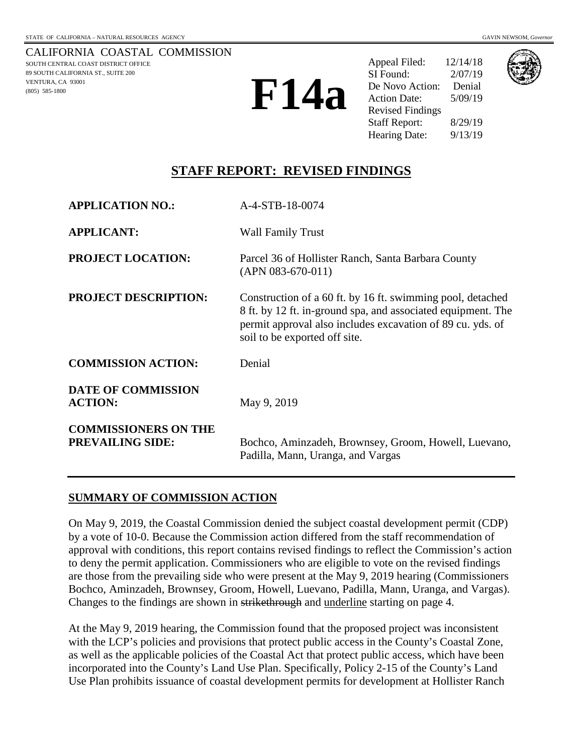CALIFORNIA COASTAL COMMISSION SOUTH CENTRAL COAST DISTRICT OFFICE 89 SOUTH CALIFORNIA ST., SUITE 200 VENTURA, CA 93001 (805) 585-1800

Appeal Filed: 12/14/18 SI Found: 2/07/19 De Novo Action: Denial Action Date: 5/09/19 Revised Findings Staff Report: 8/29/19 Hearing Date: 9/13/19



# **STAFF REPORT: REVISED FINDINGS**

| <b>APPLICATION NO.:</b>                                | A-4-STB-18-0074                                                                                                                                                                                                           |
|--------------------------------------------------------|---------------------------------------------------------------------------------------------------------------------------------------------------------------------------------------------------------------------------|
| <b>APPLICANT:</b>                                      | <b>Wall Family Trust</b>                                                                                                                                                                                                  |
| <b>PROJECT LOCATION:</b>                               | Parcel 36 of Hollister Ranch, Santa Barbara County<br>$(APN 083-670-011)$                                                                                                                                                 |
| <b>PROJECT DESCRIPTION:</b>                            | Construction of a 60 ft. by 16 ft. swimming pool, detached<br>8 ft. by 12 ft. in-ground spa, and associated equipment. The<br>permit approval also includes excavation of 89 cu. yds. of<br>soil to be exported off site. |
| <b>COMMISSION ACTION:</b>                              | Denial                                                                                                                                                                                                                    |
| <b>DATE OF COMMISSION</b><br><b>ACTION:</b>            | May 9, 2019                                                                                                                                                                                                               |
| <b>COMMISSIONERS ON THE</b><br><b>PREVAILING SIDE:</b> | Bochco, Aminzadeh, Brownsey, Groom, Howell, Luevano,<br>Padilla, Mann, Uranga, and Vargas                                                                                                                                 |

#### **SUMMARY OF COMMISSION ACTION**

On May 9, 2019, the Coastal Commission denied the subject coastal development permit (CDP) by a vote of 10-0. Because the Commission action differed from the staff recommendation of approval with conditions, this report contains revised findings to reflect the Commission's action to deny the permit application. Commissioners who are eligible to vote on the revised findings are those from the prevailing side who were present at the May 9, 2019 hearing (Commissioners Bochco, Aminzadeh, Brownsey, Groom, Howell, Luevano, Padilla, Mann, Uranga, and Vargas). Changes to the findings are shown in strikethrough and underline starting on page 4.

At the May 9, 2019 hearing, the Commission found that the proposed project was inconsistent with the LCP's policies and provisions that protect public access in the County's Coastal Zone, as well as the applicable policies of the Coastal Act that protect public access, which have been incorporated into the County's Land Use Plan. Specifically, Policy 2-15 of the County's Land Use Plan prohibits issuance of coastal development permits for development at Hollister Ranch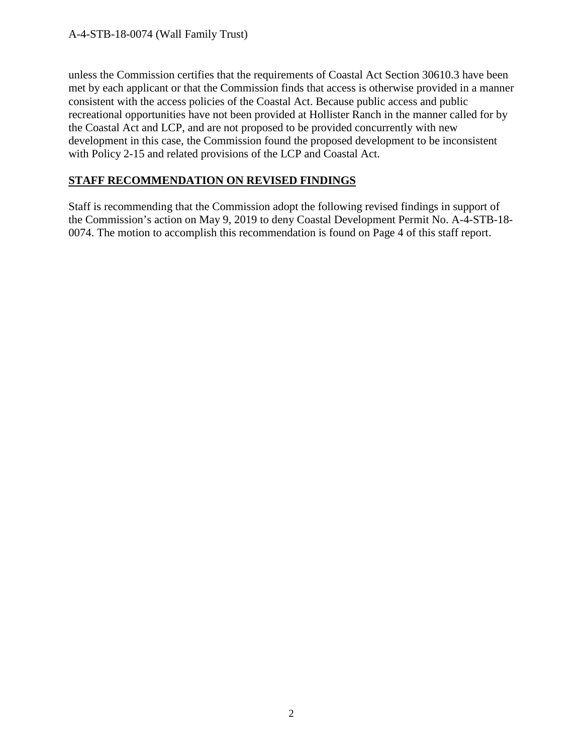## A-4-STB-18-0074 (Wall Family Trust)

unless the Commission certifies that the requirements of Coastal Act Section 30610.3 have been met by each applicant or that the Commission finds that access is otherwise provided in a manner consistent with the access policies of the Coastal Act. Because public access and public recreational opportunities have not been provided at Hollister Ranch in the manner called for by the Coastal Act and LCP, and are not proposed to be provided concurrently with new development in this case, the Commission found the proposed development to be inconsistent with Policy 2-15 and related provisions of the LCP and Coastal Act.

# **STAFF RECOMMENDATION ON REVISED FINDINGS**

Staff is recommending that the Commission adopt the following revised findings in support of the Commission's action on May 9, 2019 to deny Coastal Development Permit No. A-4-STB-18- 0074. The motion to accomplish this recommendation is found on Page 4 of this staff report.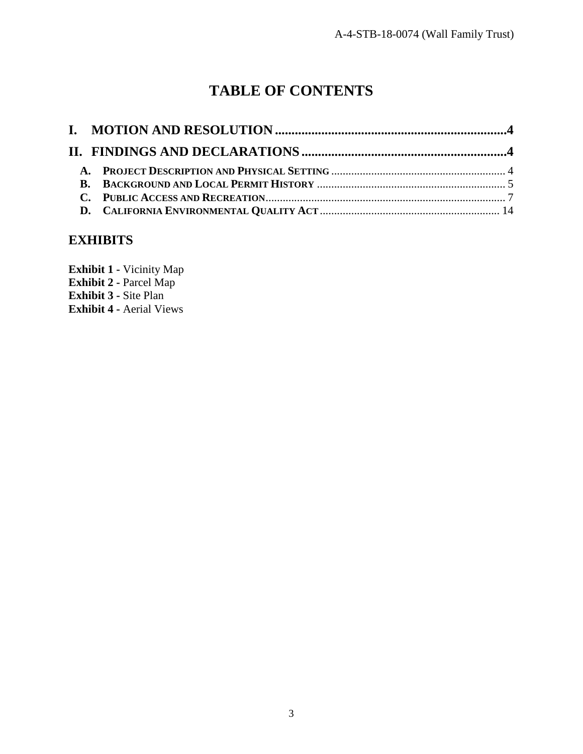# **TABLE OF CONTENTS**

# **EXHIBITS**

**Exhibit 1 -** [Vicinity Map](https://documents.coastal.ca.gov/reports/2019/9/F14a/F14a-9-2019-exhibits.pdf) **Exhibit 2 -** Parcel Map **Exhibit 3 -** Site Plan **Exhibit 4 -** Aerial Views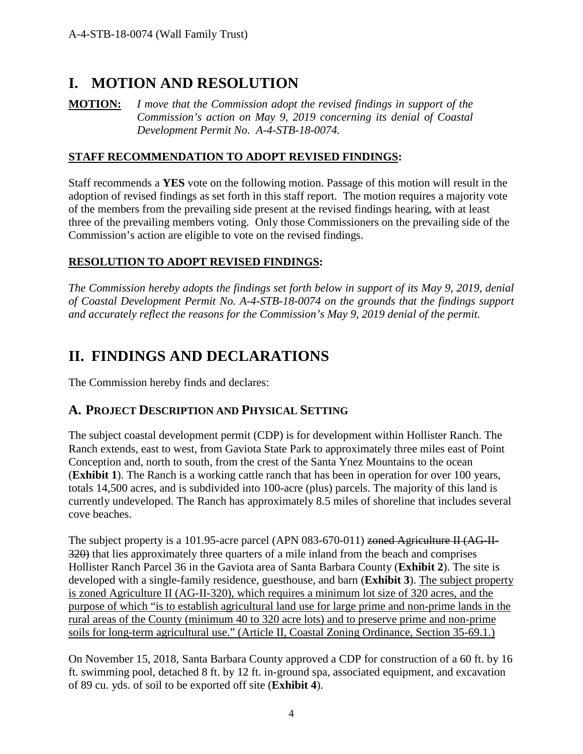# <span id="page-3-0"></span>**I. MOTION AND RESOLUTION**

**MOTION:** *I move that the Commission adopt the revised findings in support of the Commission's action on May 9, 2019 concerning its denial of Coastal Development Permit No. A-4-STB-18-0074.*

## **STAFF RECOMMENDATION TO ADOPT REVISED FINDINGS:**

Staff recommends a **YES** vote on the following motion. Passage of this motion will result in the adoption of revised findings as set forth in this staff report. The motion requires a majority vote of the members from the prevailing side present at the revised findings hearing, with at least three of the prevailing members voting. Only those Commissioners on the prevailing side of the Commission's action are eligible to vote on the revised findings.

# **RESOLUTION TO ADOPT REVISED FINDINGS:**

*The Commission hereby adopts the findings set forth below in support of its May 9, 2019, denial of Coastal Development Permit No. A-4-STB-18-0074 on the grounds that the findings support and accurately reflect the reasons for the Commission's May 9, 2019 denial of the permit.* 

# <span id="page-3-1"></span>**II. FINDINGS AND DECLARATIONS**

The Commission hereby finds and declares:

# <span id="page-3-2"></span>**A. PROJECT DESCRIPTION AND PHYSICAL SETTING**

The subject coastal development permit (CDP) is for development within Hollister Ranch. The Ranch extends, east to west, from Gaviota State Park to approximately three miles east of Point Conception and, north to south, from the crest of the Santa Ynez Mountains to the ocean (**Exhibit 1**). The Ranch is a working cattle ranch that has been in operation for over 100 years, totals 14,500 acres, and is subdivided into 100-acre (plus) parcels. The majority of this land is currently undeveloped. The Ranch has approximately 8.5 miles of shoreline that includes several cove beaches.

The subject property is a 101.95-acre parcel (APN  $083-670-011$ ) zoned Agriculture II (AG-II-320) that lies approximately three quarters of a mile inland from the beach and comprises Hollister Ranch Parcel 36 in the Gaviota area of Santa Barbara County (**Exhibit 2**). The site is developed with a single-family residence, guesthouse, and barn (**Exhibit 3**). The subject property is zoned Agriculture II (AG-II-320), which requires a minimum lot size of 320 acres, and the purpose of which "is to establish agricultural land use for large prime and non-prime lands in the rural areas of the County (minimum 40 to 320 acre lots) and to preserve prime and non-prime soils for long-term agricultural use." (Article II, Coastal Zoning Ordinance, Section 35-69.1.)

On November 15, 2018, Santa Barbara County approved a CDP for construction of a 60 ft. by 16 ft. swimming pool, detached 8 ft. by 12 ft. in-ground spa, associated equipment, and excavation of 89 cu. yds. of soil to be exported off site (**Exhibit 4**).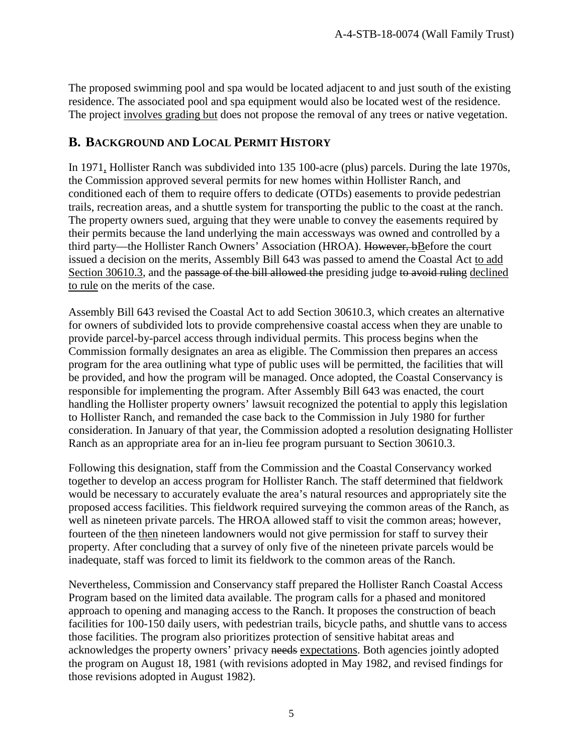The proposed swimming pool and spa would be located adjacent to and just south of the existing residence. The associated pool and spa equipment would also be located west of the residence. The project involves grading but does not propose the removal of any trees or native vegetation.

# <span id="page-4-0"></span>**B. BACKGROUND AND LOCAL PERMIT HISTORY**

In 1971, Hollister Ranch was subdivided into 135 100-acre (plus) parcels. During the late 1970s, the Commission approved several permits for new homes within Hollister Ranch, and conditioned each of them to require offers to dedicate (OTDs) easements to provide pedestrian trails, recreation areas, and a shuttle system for transporting the public to the coast at the ranch. The property owners sued, arguing that they were unable to convey the easements required by their permits because the land underlying the main accessways was owned and controlled by a third party—the Hollister Ranch Owners' Association (HROA). However, bBefore the court issued a decision on the merits, Assembly Bill 643 was passed to amend the Coastal Act to add Section 30610.3, and the passage of the bill allowed the presiding judge to avoid ruling declined to rule on the merits of the case.

Assembly Bill 643 revised the Coastal Act to add Section 30610.3, which creates an alternative for owners of subdivided lots to provide comprehensive coastal access when they are unable to provide parcel-by-parcel access through individual permits. This process begins when the Commission formally designates an area as eligible. The Commission then prepares an access program for the area outlining what type of public uses will be permitted, the facilities that will be provided, and how the program will be managed. Once adopted, the Coastal Conservancy is responsible for implementing the program. After Assembly Bill 643 was enacted, the court handling the Hollister property owners' lawsuit recognized the potential to apply this legislation to Hollister Ranch, and remanded the case back to the Commission in July 1980 for further consideration. In January of that year, the Commission adopted a resolution designating Hollister Ranch as an appropriate area for an in-lieu fee program pursuant to Section 30610.3.

Following this designation, staff from the Commission and the Coastal Conservancy worked together to develop an access program for Hollister Ranch. The staff determined that fieldwork would be necessary to accurately evaluate the area's natural resources and appropriately site the proposed access facilities. This fieldwork required surveying the common areas of the Ranch, as well as nineteen private parcels. The HROA allowed staff to visit the common areas; however, fourteen of the then nineteen landowners would not give permission for staff to survey their property. After concluding that a survey of only five of the nineteen private parcels would be inadequate, staff was forced to limit its fieldwork to the common areas of the Ranch.

Nevertheless, Commission and Conservancy staff prepared the Hollister Ranch Coastal Access Program based on the limited data available. The program calls for a phased and monitored approach to opening and managing access to the Ranch. It proposes the construction of beach facilities for 100-150 daily users, with pedestrian trails, bicycle paths, and shuttle vans to access those facilities. The program also prioritizes protection of sensitive habitat areas and acknowledges the property owners' privacy needs expectations. Both agencies jointly adopted the program on August 18, 1981 (with revisions adopted in May 1982, and revised findings for those revisions adopted in August 1982).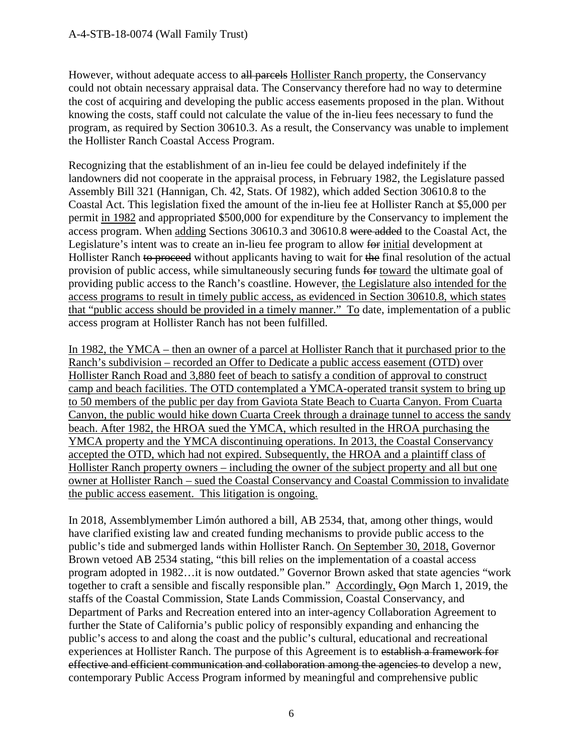However, without adequate access to all parcels Hollister Ranch property, the Conservancy could not obtain necessary appraisal data. The Conservancy therefore had no way to determine the cost of acquiring and developing the public access easements proposed in the plan. Without knowing the costs, staff could not calculate the value of the in-lieu fees necessary to fund the program, as required by Section 30610.3. As a result, the Conservancy was unable to implement the Hollister Ranch Coastal Access Program.

Recognizing that the establishment of an in-lieu fee could be delayed indefinitely if the landowners did not cooperate in the appraisal process, in February 1982, the Legislature passed Assembly Bill 321 (Hannigan, Ch. 42, Stats. Of 1982), which added Section 30610.8 to the Coastal Act. This legislation fixed the amount of the in-lieu fee at Hollister Ranch at \$5,000 per permit in 1982 and appropriated \$500,000 for expenditure by the Conservancy to implement the access program. When adding Sections 30610.3 and 30610.8 were added to the Coastal Act, the Legislature's intent was to create an in-lieu fee program to allow for initial development at Hollister Ranch to proceed without applicants having to wait for the final resolution of the actual provision of public access, while simultaneously securing funds for toward the ultimate goal of providing public access to the Ranch's coastline. However, the Legislature also intended for the access programs to result in timely public access, as evidenced in Section 30610.8, which states that "public access should be provided in a timely manner." To date, implementation of a public access program at Hollister Ranch has not been fulfilled.

In 1982, the YMCA – then an owner of a parcel at Hollister Ranch that it purchased prior to the Ranch's subdivision – recorded an Offer to Dedicate a public access easement (OTD) over Hollister Ranch Road and 3,880 feet of beach to satisfy a condition of approval to construct camp and beach facilities. The OTD contemplated a YMCA-operated transit system to bring up to 50 members of the public per day from Gaviota State Beach to Cuarta Canyon. From Cuarta Canyon, the public would hike down Cuarta Creek through a drainage tunnel to access the sandy beach. After 1982, the HROA sued the YMCA, which resulted in the HROA purchasing the YMCA property and the YMCA discontinuing operations. In 2013, the Coastal Conservancy accepted the OTD, which had not expired. Subsequently, the HROA and a plaintiff class of Hollister Ranch property owners – including the owner of the subject property and all but one owner at Hollister Ranch – sued the Coastal Conservancy and Coastal Commission to invalidate the public access easement. This litigation is ongoing.

In 2018, Assemblymember Limón authored a bill, AB 2534, that, among other things, would have clarified existing law and created funding mechanisms to provide public access to the public's tide and submerged lands within Hollister Ranch. On September 30, 2018, Governor Brown vetoed AB 2534 stating, "this bill relies on the implementation of a coastal access program adopted in 1982…it is now outdated." Governor Brown asked that state agencies "work together to craft a sensible and fiscally responsible plan." Accordingly, Oon March 1, 2019, the staffs of the Coastal Commission, State Lands Commission, Coastal Conservancy, and Department of Parks and Recreation entered into an inter-agency Collaboration Agreement to further the State of California's public policy of responsibly expanding and enhancing the public's access to and along the coast and the public's cultural, educational and recreational experiences at Hollister Ranch. The purpose of this Agreement is to establish a framework for effective and efficient communication and collaboration among the agencies to develop a new, contemporary Public Access Program informed by meaningful and comprehensive public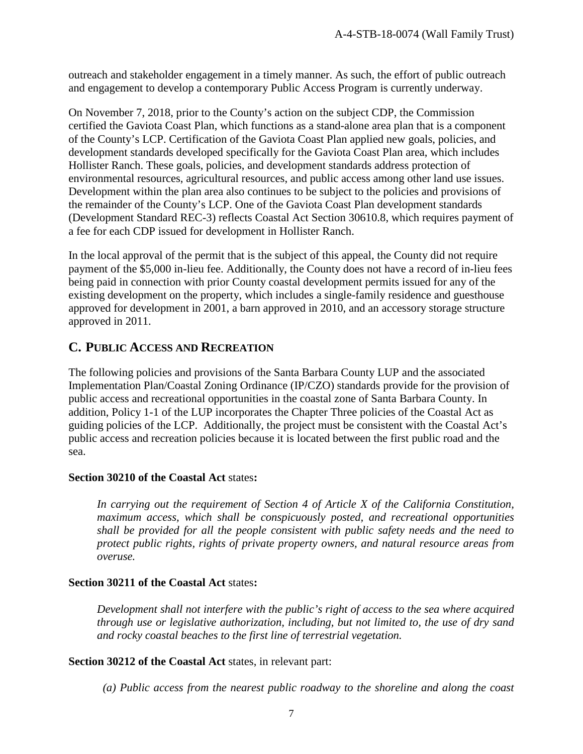outreach and stakeholder engagement in a timely manner. As such, the effort of public outreach and engagement to develop a contemporary Public Access Program is currently underway.

On November 7, 2018, prior to the County's action on the subject CDP, the Commission certified the Gaviota Coast Plan, which functions as a stand-alone area plan that is a component of the County's LCP. Certification of the Gaviota Coast Plan applied new goals, policies, and development standards developed specifically for the Gaviota Coast Plan area, which includes Hollister Ranch. These goals, policies, and development standards address protection of environmental resources, agricultural resources, and public access among other land use issues. Development within the plan area also continues to be subject to the policies and provisions of the remainder of the County's LCP. One of the Gaviota Coast Plan development standards (Development Standard REC-3) reflects Coastal Act Section 30610.8, which requires payment of a fee for each CDP issued for development in Hollister Ranch.

In the local approval of the permit that is the subject of this appeal, the County did not require payment of the \$5,000 in-lieu fee. Additionally, the County does not have a record of in-lieu fees being paid in connection with prior County coastal development permits issued for any of the existing development on the property, which includes a single-family residence and guesthouse approved for development in 2001, a barn approved in 2010, and an accessory storage structure approved in 2011.

# <span id="page-6-0"></span>**C. PUBLIC ACCESS AND RECREATION**

The following policies and provisions of the Santa Barbara County LUP and the associated Implementation Plan/Coastal Zoning Ordinance (IP/CZO) standards provide for the provision of public access and recreational opportunities in the coastal zone of Santa Barbara County. In addition, Policy 1-1 of the LUP incorporates the Chapter Three policies of the Coastal Act as guiding policies of the LCP. Additionally, the project must be consistent with the Coastal Act's public access and recreation policies because it is located between the first public road and the sea.

#### **Section 30210 of the Coastal Act** states**:**

*In carrying out the requirement of Section 4 of Article X of the California Constitution, maximum access, which shall be conspicuously posted, and recreational opportunities shall be provided for all the people consistent with public safety needs and the need to protect public rights, rights of private property owners, and natural resource areas from overuse.*

## **Section 30211 of the Coastal Act** states**:**

*Development shall not interfere with the public's right of access to the sea where acquired through use or legislative authorization, including, but not limited to, the use of dry sand and rocky coastal beaches to the first line of terrestrial vegetation.*

#### **Section 30212 of the Coastal Act** states, in relevant part:

*(a) Public access from the nearest public roadway to the shoreline and along the coast*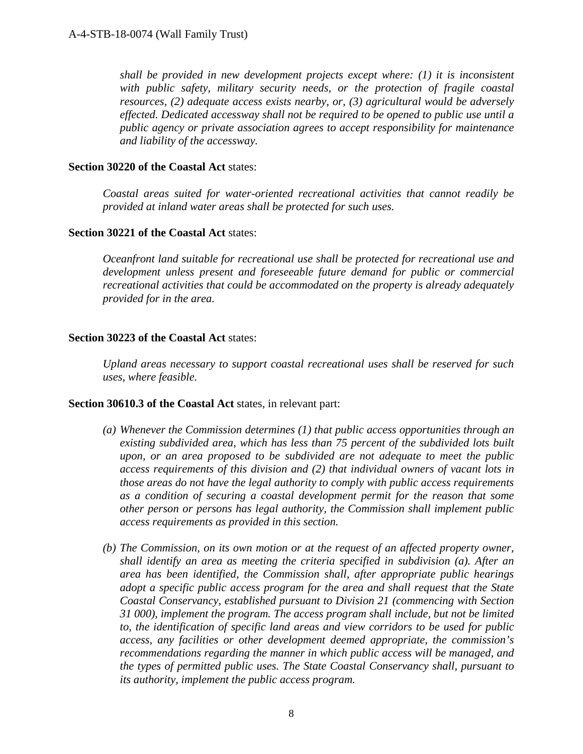*shall be provided in new development projects except where: (1) it is inconsistent with public safety, military security needs, or the protection of fragile coastal resources, (2) adequate access exists nearby, or, (3) agricultural would be adversely effected. Dedicated accessway shall not be required to be opened to public use until a public agency or private association agrees to accept responsibility for maintenance and liability of the accessway.* 

#### **Section 30220 of the Coastal Act** states:

*Coastal areas suited for water-oriented recreational activities that cannot readily be provided at inland water areas shall be protected for such uses.* 

#### **Section 30221 of the Coastal Act** states:

*Oceanfront land suitable for recreational use shall be protected for recreational use and development unless present and foreseeable future demand for public or commercial recreational activities that could be accommodated on the property is already adequately provided for in the area.* 

#### **Section 30223 of the Coastal Act** states:

*Upland areas necessary to support coastal recreational uses shall be reserved for such uses, where feasible.*

#### **Section 30610.3 of the Coastal Act** states, in relevant part:

- *(a) Whenever the Commission determines (1) that public access opportunities through an existing subdivided area, which has less than 75 percent of the subdivided lots built upon, or an area proposed to be subdivided are not adequate to meet the public access requirements of this division and (2) that individual owners of vacant lots in those areas do not have the legal authority to comply with public access requirements as a condition of securing a coastal development permit for the reason that some other person or persons has legal authority, the Commission shall implement public access requirements as provided in this section.*
- *(b) The Commission, on its own motion or at the request of an affected property owner, shall identify an area as meeting the criteria specified in subdivision (a). After an area has been identified, the Commission shall, after appropriate public hearings adopt a specific public access program for the area and shall request that the State Coastal Conservancy, established pursuant to Division 21 (commencing with Section 31 000), implement the program. The access program shall include, but not be limited to, the identification of specific land areas and view corridors to be used for public access, any facilities or other development deemed appropriate, the commission's recommendations regarding the manner in which public access will be managed, and the types of permitted public uses. The State Coastal Conservancy shall, pursuant to its authority, implement the public access program.*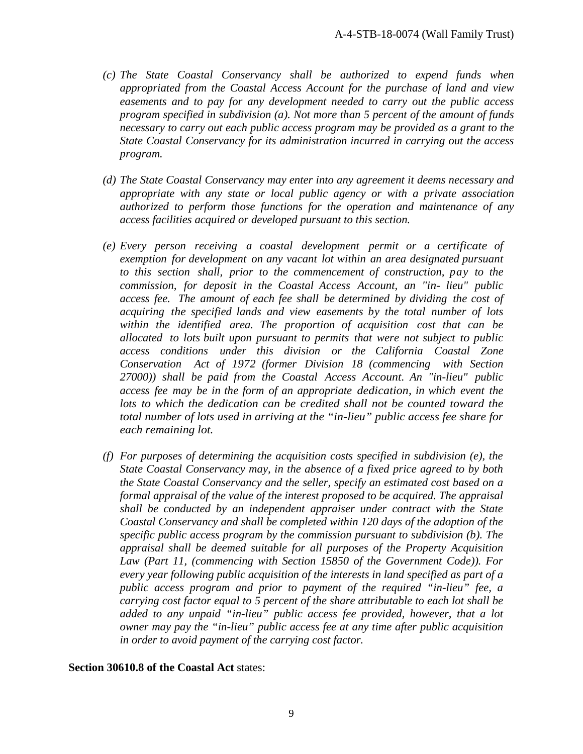- *(c) The State Coastal Conservancy shall be authorized to expend funds when appropriated from the Coastal Access Account for the purchase of land and view easements and to pay for any development needed to carry out the public access program specified in subdivision (a). Not more than 5 percent of the amount of funds necessary to carry out each public access program may be provided as a grant to the State Coastal Conservancy for its administration incurred in carrying out the access program.*
- *(d) The State Coastal Conservancy may enter into any agreement it deems necessary and appropriate with any state or local public agency or with a private association authorized to perform those functions for the operation and maintenance of any access facilities acquired or developed pursuant to this section.*
- *(e) Every person receiving a coastal development permit or a certificate of exemption for development on any vacant lot within an area designated pursuant to this section shall, prior to the commencement of construction, pay to the commission, for deposit in the Coastal Access Account, an "in- lieu" public access fee. The amount of each fee shall be determined by dividing the cost of acquiring the specified lands and view easements by the total number of lots within the identified area. The proportion of acquisition cost that can be allocated to lots built upon pursuant to permits that were not subject to public access conditions under this division or the California Coastal Zone Conservation Act of 1972 (former Division 18 (commencing with Section 27000)) shall be paid from the Coastal Access Account. An "in-lieu" public access fee may be in the form of an appropriate dedication, in which event the*  lots to which the dedication can be credited shall not be counted toward the *total number of lots used in arriving at the "in-lieu" public access fee share for each remaining lot.*
- *(f) For purposes of determining the acquisition costs specified in subdivision (e), the State Coastal Conservancy may, in the absence of a fixed price agreed to by both the State Coastal Conservancy and the seller, specify an estimated cost based on a formal appraisal of the value of the interest proposed to be acquired. The appraisal shall be conducted by an independent appraiser under contract with the State Coastal Conservancy and shall be completed within 120 days of the adoption of the specific public access program by the commission pursuant to subdivision (b). The appraisal shall be deemed suitable for all purposes of the Property Acquisition Law (Part 11, (commencing with Section 15850 of the Government Code)). For every year following public acquisition of the interests in land specified as part of a public access program and prior to payment of the required "in-lieu" fee, a carrying cost factor equal to 5 percent of the share attributable to each lot shall be added to any unpaid "in-lieu" public access fee provided, however, that a lot owner may pay the "in-lieu" public access fee at any time after public acquisition in order to avoid payment of the carrying cost factor.*

#### **Section 30610.8 of the Coastal Act** states: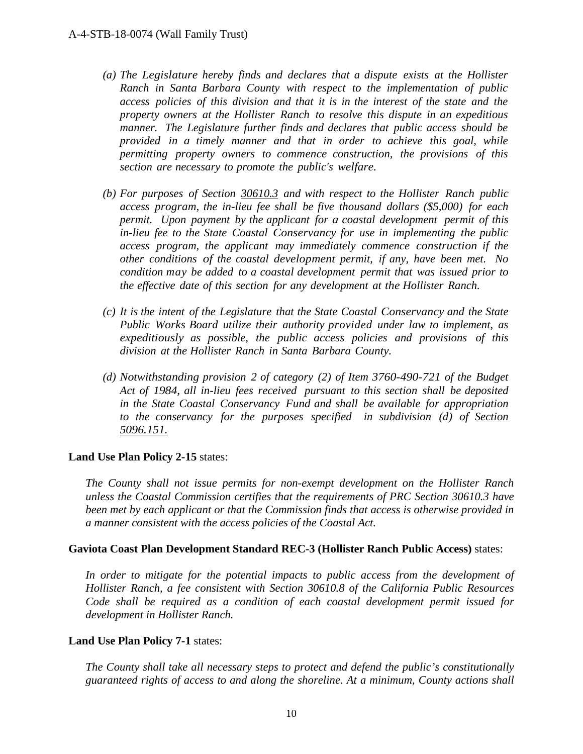- *(a) The Legislature hereby finds and declares that a dispute exists at the Hollister Ranch in Santa Barbara County with respect to the implementation of public access policies of this division and that it is in the interest of the state and the property owners at the Hollister Ranch to resolve this dispute in an expeditious manner. The Legislature further finds and declares that public access should be provided in a timely manner and that in order to achieve this goal, while permitting property owners to commence construction, the provisions of this section are necessary to promote the public's welfare.*
- *(b) For purposes of Section 30610.3 and with respect to the Hollister Ranch public access program, the in-lieu fee shall be five thousand dollars (\$5,000) for each permit. Upon payment by the applicant for a coastal development permit of this in-lieu fee to the State Coastal Conservancy for use in implementing the public access program, the applicant may immediately commence construction if the other conditions of the coastal development permit, if any, have been met. No condition may be added to a coastal development permit that was issued prior to the effective date of this section for any development at the Hollister Ranch.*
- *(c) It is the intent of the Legislature that the State Coastal Conservancy and the State Public Works Board utilize their authority provided under law to implement, as expeditiously as possible, the public access policies and provisions of this division at the Hollister Ranch in Santa Barbara County.*
- *(d) Notwithstanding provision 2 of category (2) of Item 3760-490-721 of the Budget Act of 1984, all in-lieu fees received pursuant to this section shall be deposited in the State Coastal Conservancy Fund and shall be available for appropriation to the conservancy for the purposes specified in subdivision (d) of Section 5096.151.*

#### **Land Use Plan Policy 2-15** states:

*The County shall not issue permits for non-exempt development on the Hollister Ranch unless the Coastal Commission certifies that the requirements of PRC Section 30610.3 have been met by each applicant or that the Commission finds that access is otherwise provided in a manner consistent with the access policies of the Coastal Act.* 

#### **Gaviota Coast Plan Development Standard REC-3 (Hollister Ranch Public Access)** states:

In order to mitigate for the potential impacts to public access from the development of *Hollister Ranch, a fee consistent with Section 30610.8 of the California Public Resources Code shall be required as a condition of each coastal development permit issued for development in Hollister Ranch.* 

#### **Land Use Plan Policy 7-1** states:

*The County shall take all necessary steps to protect and defend the public's constitutionally guaranteed rights of access to and along the shoreline. At a minimum, County actions shall*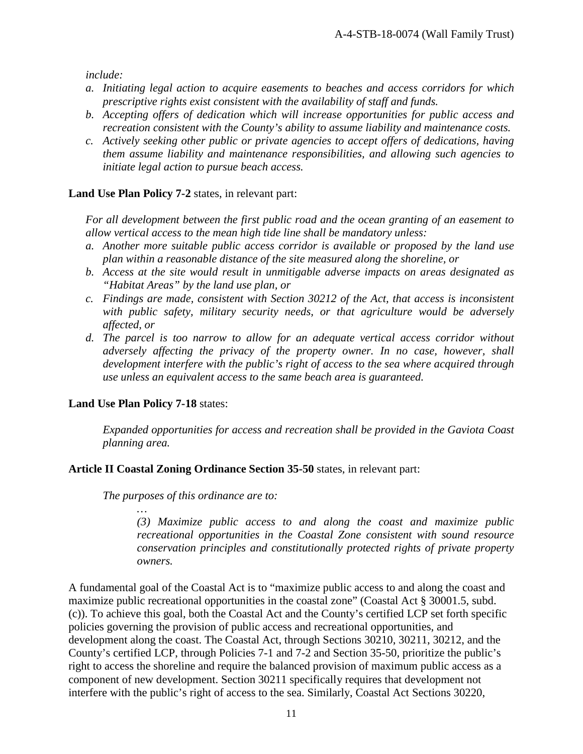*include:* 

- *a. Initiating legal action to acquire easements to beaches and access corridors for which prescriptive rights exist consistent with the availability of staff and funds.*
- *b. Accepting offers of dedication which will increase opportunities for public access and recreation consistent with the County's ability to assume liability and maintenance costs.*
- *c. Actively seeking other public or private agencies to accept offers of dedications, having them assume liability and maintenance responsibilities, and allowing such agencies to initiate legal action to pursue beach access.*

#### **Land Use Plan Policy 7-2** states, in relevant part:

*For all development between the first public road and the ocean granting of an easement to allow vertical access to the mean high tide line shall be mandatory unless:* 

- *a. Another more suitable public access corridor is available or proposed by the land use plan within a reasonable distance of the site measured along the shoreline, or*
- *b. Access at the site would result in unmitigable adverse impacts on areas designated as "Habitat Areas" by the land use plan, or*
- *c. Findings are made, consistent with Section 30212 of the Act, that access is inconsistent*  with public safety, military security needs, or that agriculture would be adversely *affected, or*
- *d. The parcel is too narrow to allow for an adequate vertical access corridor without adversely affecting the privacy of the property owner. In no case, however, shall development interfere with the public's right of access to the sea where acquired through use unless an equivalent access to the same beach area is guaranteed.*

## **Land Use Plan Policy 7-18** states:

 *…* 

*Expanded opportunities for access and recreation shall be provided in the Gaviota Coast planning area.* 

#### **Article II Coastal Zoning Ordinance Section 35-50** states, in relevant part:

*The purposes of this ordinance are to:* 

*(3) Maximize public access to and along the coast and maximize public recreational opportunities in the Coastal Zone consistent with sound resource conservation principles and constitutionally protected rights of private property owners.* 

A fundamental goal of the Coastal Act is to "maximize public access to and along the coast and maximize public recreational opportunities in the coastal zone" (Coastal Act § 30001.5, subd. (c)). To achieve this goal, both the Coastal Act and the County's certified LCP set forth specific policies governing the provision of public access and recreational opportunities, and development along the coast. The Coastal Act, through Sections 30210, 30211, 30212, and the County's certified LCP, through Policies 7-1 and 7-2 and Section 35-50, prioritize the public's right to access the shoreline and require the balanced provision of maximum public access as a component of new development. Section 30211 specifically requires that development not interfere with the public's right of access to the sea. Similarly, Coastal Act Sections 30220,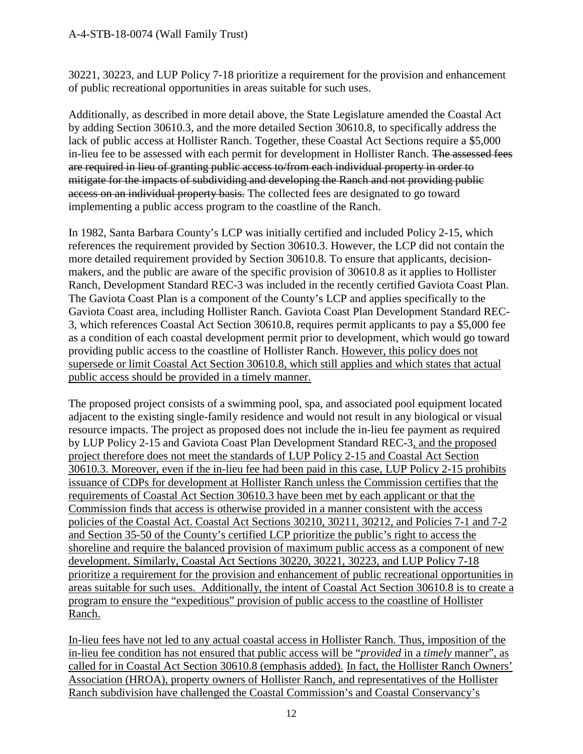## A-4-STB-18-0074 (Wall Family Trust)

30221, 30223, and LUP Policy 7-18 prioritize a requirement for the provision and enhancement of public recreational opportunities in areas suitable for such uses.

Additionally, as described in more detail above, the State Legislature amended the Coastal Act by adding Section 30610.3, and the more detailed Section 30610.8, to specifically address the lack of public access at Hollister Ranch. Together, these Coastal Act Sections require a \$5,000 in-lieu fee to be assessed with each permit for development in Hollister Ranch. The assessed fees are required in lieu of granting public access to/from each individual property in order to mitigate for the impacts of subdividing and developing the Ranch and not providing public access on an individual property basis. The collected fees are designated to go toward implementing a public access program to the coastline of the Ranch.

In 1982, Santa Barbara County's LCP was initially certified and included Policy 2-15, which references the requirement provided by Section 30610.3. However, the LCP did not contain the more detailed requirement provided by Section 30610.8. To ensure that applicants, decisionmakers, and the public are aware of the specific provision of 30610.8 as it applies to Hollister Ranch, Development Standard REC-3 was included in the recently certified Gaviota Coast Plan. The Gaviota Coast Plan is a component of the County's LCP and applies specifically to the Gaviota Coast area, including Hollister Ranch. Gaviota Coast Plan Development Standard REC-3, which references Coastal Act Section 30610.8, requires permit applicants to pay a \$5,000 fee as a condition of each coastal development permit prior to development, which would go toward providing public access to the coastline of Hollister Ranch. However, this policy does not supersede or limit Coastal Act Section 30610.8, which still applies and which states that actual public access should be provided in a timely manner.

The proposed project consists of a swimming pool, spa, and associated pool equipment located adjacent to the existing single-family residence and would not result in any biological or visual resource impacts. The project as proposed does not include the in-lieu fee payment as required by LUP Policy 2-15 and Gaviota Coast Plan Development Standard REC-3, and the proposed project therefore does not meet the standards of LUP Policy 2-15 and Coastal Act Section 30610.3. Moreover, even if the in-lieu fee had been paid in this case, LUP Policy 2-15 prohibits issuance of CDPs for development at Hollister Ranch unless the Commission certifies that the requirements of Coastal Act Section 30610.3 have been met by each applicant or that the Commission finds that access is otherwise provided in a manner consistent with the access policies of the Coastal Act. Coastal Act Sections 30210, 30211, 30212, and Policies 7-1 and 7-2 and Section 35-50 of the County's certified LCP prioritize the public's right to access the shoreline and require the balanced provision of maximum public access as a component of new development. Similarly, Coastal Act Sections 30220, 30221, 30223, and LUP Policy 7-18 prioritize a requirement for the provision and enhancement of public recreational opportunities in areas suitable for such uses. Additionally, the intent of Coastal Act Section 30610.8 is to create a program to ensure the "expeditious" provision of public access to the coastline of Hollister Ranch.

In-lieu fees have not led to any actual coastal access in Hollister Ranch. Thus, imposition of the in-lieu fee condition has not ensured that public access will be "*provided* in a *timely* manner", as called for in Coastal Act Section 30610.8 (emphasis added). In fact, the Hollister Ranch Owners' Association (HROA), property owners of Hollister Ranch, and representatives of the Hollister Ranch subdivision have challenged the Coastal Commission's and Coastal Conservancy's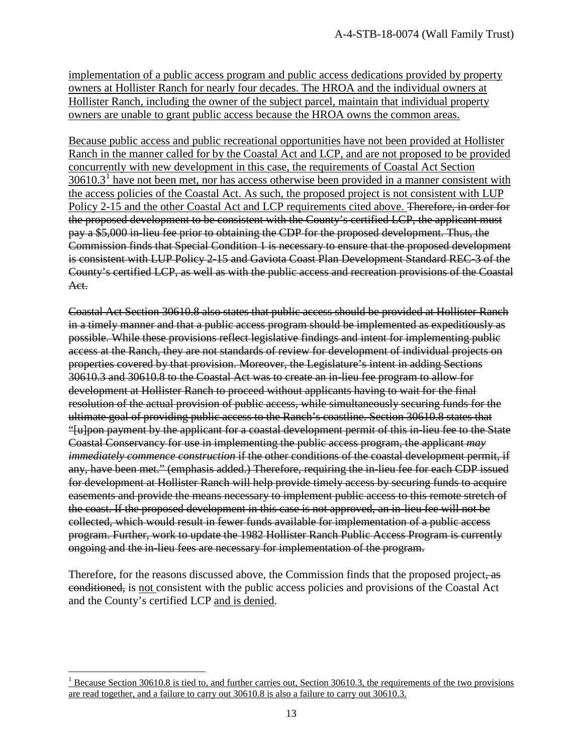implementation of a public access program and public access dedications provided by property owners at Hollister Ranch for nearly four decades. The HROA and the individual owners at Hollister Ranch, including the owner of the subject parcel, maintain that individual property owners are unable to grant public access because the HROA owns the common areas.

Because public access and public recreational opportunities have not been provided at Hollister Ranch in the manner called for by the Coastal Act and LCP, and are not proposed to be provided concurrently with new development in this case, the requirements of Coastal Act Section  $30610.3<sup>1</sup>$  $30610.3<sup>1</sup>$  $30610.3<sup>1</sup>$  have not been met, nor has access otherwise been provided in a manner consistent with the access policies of the Coastal Act. As such, the proposed project is not consistent with LUP Policy 2-15 and the other Coastal Act and LCP requirements cited above. <del>Therefore, in order for</del> the proposed development to be consistent with the County's certified LCP, the applicant must pay a \$5,000 in-lieu fee prior to obtaining the CDP for the proposed development. Thus, the Commission finds that Special Condition 1 is necessary to ensure that the proposed development is consistent with LUP Policy 2-15 and Gaviota Coast Plan Development Standard REC-3 of the County's certified LCP, as well as with the public access and recreation provisions of the Coastal Act.

Coastal Act Section 30610.8 also states that public access should be provided at Hollister Ranch in a timely manner and that a public access program should be implemented as expeditiously as possible. While these provisions reflect legislative findings and intent for implementing public access at the Ranch, they are not standards of review for development of individual projects on properties covered by that provision. Moreover, the Legislature's intent in adding Sections 30610.3 and 30610.8 to the Coastal Act was to create an in-lieu fee program to allow for development at Hollister Ranch to proceed without applicants having to wait for the final resolution of the actual provision of public access, while simultaneously securing funds for the ultimate goal of providing public access to the Ranch's coastline. Section 30610.8 states that "[u]pon payment by the applicant for a coastal development permit of this in-lieu fee to the State Coastal Conservancy for use in implementing the public access program, the applicant *may immediately commence construction* if the other conditions of the coastal development permit, if any, have been met." (emphasis added.) Therefore, requiring the in-lieu fee for each CDP issued for development at Hollister Ranch will help provide timely access by securing funds to acquire easements and provide the means necessary to implement public access to this remote stretch of the coast. If the proposed development in this case is not approved, an in-lieu fee will not be collected, which would result in fewer funds available for implementation of a public access program. Further, work to update the 1982 Hollister Ranch Public Access Program is currently ongoing and the in-lieu fees are necessary for implementation of the program.

Therefore, for the reasons discussed above, the Commission finds that the proposed project, as conditioned, is not consistent with the public access policies and provisions of the Coastal Act and the County's certified LCP and is denied.

<span id="page-12-0"></span> $\overline{a}$ <sup>1</sup> Because Section 30610.8 is tied to, and further carries out, Section 30610.3, the requirements of the two provisions are read together, and a failure to carry out 30610.8 is also a failure to carry out 30610.3.